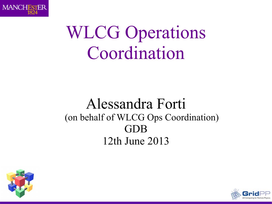

#### WLCG Operations Coordination

#### Alessandra Forti (on behalf of WLCG Ops Coordination) GDB 12th June 2013



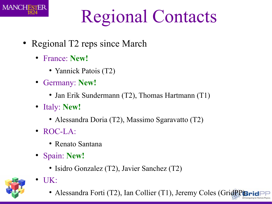

### Regional Contacts

- Regional T2 reps since March
	- France: **New!**
		- Yannick Patois (T2)
	- Germany: **New!**
		- Jan Erik Sundermann (T2), Thomas Hartmann (T1)
	- Italy: **New!**
		- Alessandra Doria (T2), Massimo Sgaravatto (T2)
	- ROC-LA:
		- Renato Santana
	- Spain: **New!**

● UK:

• Isidro Gonzalez (T2), Javier Sanchez (T2)



• Alessandra Forti (T2), Ian Collier (T1), Jeremy Coles (GridPP)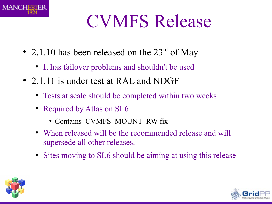

### CVMFS Release

- 2.1.10 has been released on the  $23<sup>rd</sup>$  of May
	- It has failover problems and shouldn't be used
- 2.1.11 is under test at RAL and NDGF
	- Tests at scale should be completed within two weeks
	- Required by Atlas on SL6
		- Contains CVMFS MOUNT RW fix
	- When released will be the recommended release and will supersede all other releases.
	- Sites moving to SL6 should be aiming at using this release



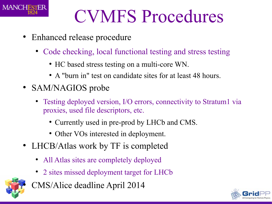

#### CVMFS Procedures

- Enhanced release procedure
	- Code checking, local functional testing and stress testing
		- HC based stress testing on a multi-core WN.
		- A "burn in" test on candidate sites for at least 48 hours.
- SAM/NAGIOS probe
	- Testing deployed version, I/O errors, connectivity to Stratum1 via proxies, used file descriptors, etc.
		- Currently used in pre-prod by LHCb and CMS.
		- Other VOs interested in deployment.
- LHCB/Atlas work by TF is completed
	- All Atlas sites are completely deployed
	- 2 sites missed deployment target for LHCb



CMS/Alice deadline April 2014

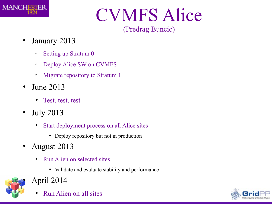

### CVMFS Alice

#### (Predrag Buncic)

- January 2013
	- ✔ Setting up Stratum 0
	- ✔ Deploy Alice SW on CVMFS
	- ✔ Migrate repository to Stratum 1
- June 2013
	- Test, test, test
- July 2013
	- Start deployment process on all Alice sites
		- Deploy repository but not in production
- August 2013
	- Run Alien on selected sites
		- Validate and evaluate stability and performance



- April 2014
	- Run Alien on all sites

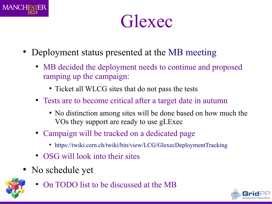

Glexec

- Deployment status presented at the [MB meeting](http://indico.cern.ch/conferenceDisplay.py?confId=217970)
	- MB decided the deployment needs to continue and proposed ramping up the campaign:
		- Ticket all WLCG sites that do not pass the tests
	- Tests are to become critical after a target date in autumn
		- No distinction among sites will be done based on how much the VOs they support are ready to use gLExec
	- Campaign will be tracked on a dedicated page
		- <https://twiki.cern.ch/twiki/bin/view/LCG/GlexecDeploymentTracking>
	- OSG will look into their sites
- No schedule yet



On TODO list to be discussed at the MB

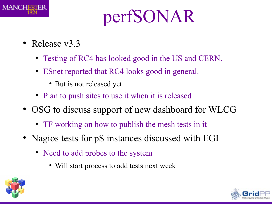

## perfSONAR

- Release v3.3
	- Testing of RC4 has looked good in the US and CERN.
	- ESnet reported that RC4 looks good in general.
		- But is not released yet
	- Plan to push sites to use it when it is released
- OSG to discuss support of new dashboard for WLCG
	- TF working on how to publish the mesh tests in it
- Nagios tests for pS instances discussed with EGI
	- Need to add probes to the system
		- Will start process to add tests next week



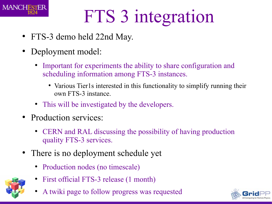

# FTS 3 integration

- FTS-3 demo held 22nd May.
- Deployment model:
	- Important for experiments the ability to share configuration and scheduling information among FTS-3 instances.
		- Various Tier1s interested in this functionality to simplify running their own FTS-3 instance.
	- This will be investigated by the developers.
- Production services:
	- CERN and RAL discussing the possibility of having production quality FTS-3 services.
- There is no deployment schedule yet
	- Production nodes (no timescale)
	- First official FTS-3 release (1 month)
	- A twiki page to follow progress was requested

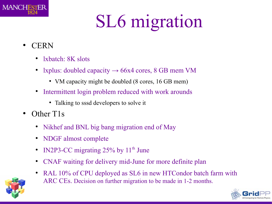

## SL6 migration

- CERN
	- $\bullet$ lxbatch: 8K slots
	- lxplus: doubled capacity  $\rightarrow$  66x4 cores, 8 GB mem VM
		- VM capacity might be doubled (8 cores, 16 GB mem)
	- Intermittent login problem reduced with work arounds
		- Talking to sssd developers to solve it
- Other T1s
	- Nikhef and BNL big bang migration end of May
	- NDGF almost complete
	- IN2P3-CC migrating  $25\%$  by  $11<sup>th</sup>$  June
	- CNAF waiting for delivery mid-June for more definite plan
	- RAL 10% of CPU deployed as SL6 in new HTCondor batch farm with ARC CEs. Decision on further migration to be made in 1-2 months.



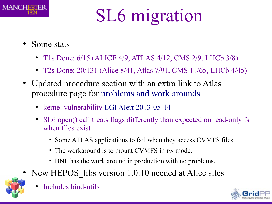

## SL6 migration

- Some stats
	- T1s Done: 6/15 (ALICE 4/9, ATLAS 4/12, CMS 2/9, LHCb 3/8)
	- T2s Done: 20/131 (Alice 8/41, Atlas 7/91, CMS 11/65, LHCb 4/45)
- Updated procedure section with an extra link to Atlas procedure page for [problems and work arounds](https://twiki.cern.ch/twiki/bin/view/Atlas/SLC6Readiness#Upgrade_problems_and_work_around)
	- kernel vulnerability [EGI Alert 2013-05-14](https://wiki.egi.eu/wiki/EGI_CSIRT:Alerts/kernel-2013-05-14)
	- SL6 open() call treats flags differently than expected on read-only fs when files exist
		- Some ATLAS applications to fail when they access CVMFS files
		- The workaround is to mount CVMFS in rw mode.
		- BNL has the work around in production with no problems.
- New HEPOS libs version 1.0.10 needed at Alice sites



Includes bind-utils

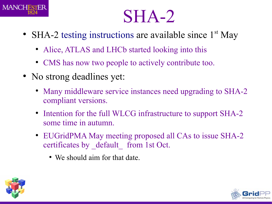

#### SHA-2

- SHA-2 [testing instructions](https://twiki.cern.ch/twiki/bin/view/LCG/SHA2readinessTesting) are available since 1<sup>st</sup> May
	- Alice, ATLAS and LHCb started looking into this
	- CMS has now two people to actively contribute too.
- No strong deadlines yet:
	- Many middleware service instances need upgrading to SHA-2 compliant versions.
	- Intention for the full WLCG infrastructure to support SHA-2 some time in autumn.
	- EUGridPMA May meeting proposed all CAs to issue SHA-2 certificates by default from 1st Oct.
		- We should aim for that date.



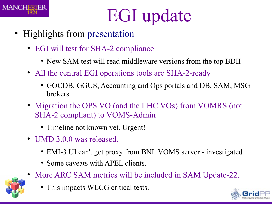

### EGI update

- Highlights from [presentation](https://indico.cern.ch/getFile.py/access?contribId=6&resId=1&materialId=slides&confId=252148)
	- EGI will test for SHA-2 compliance
		- New SAM test will read middleware versions from the top BDII
	- All the central EGI operations tools are SHA-2-ready
		- GOCDB, GGUS, Accounting and Ops portals and DB, SAM, MSG brokers
	- Migration the OPS VO (and the LHC VOs) from VOMRS (not SHA-2 compliant) to VOMS-Admin
		- Timeline not known yet. Urgent!
	- UMD 3.0.0 was released.
		- EMI-3 UI can't get proxy from BNL VOMS server investigated
		- Some caveats with APEL clients.
	- More ARC SAM metrics will be included in SAM Update-22.
		- This impacts WLCG critical tests.

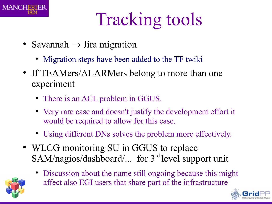

## Tracking tools

- Savannah  $\rightarrow$  Jira migration
	- [Migration steps have been added to the TF twiki](https://twiki.cern.ch/twiki/bin/view/LCG/TrackingToolsEvolution#Steps_for_migrating_WLCG_related)
- If TEAMers/ALARMers belong to more than one experiment
	- There is an ACL problem in GGUS.
	- Very rare case and doesn't justify the development effort it would be required to allow for this case.
	- Using different DNs solves the problem more effectively.
- WLCG monitoring SU in GGUS to replace SAM/nagios/dashboard/... for 3<sup>rd</sup> level support unit



• Discussion about the name still ongoing because this might affect also EGI users that share part of the infrastructure